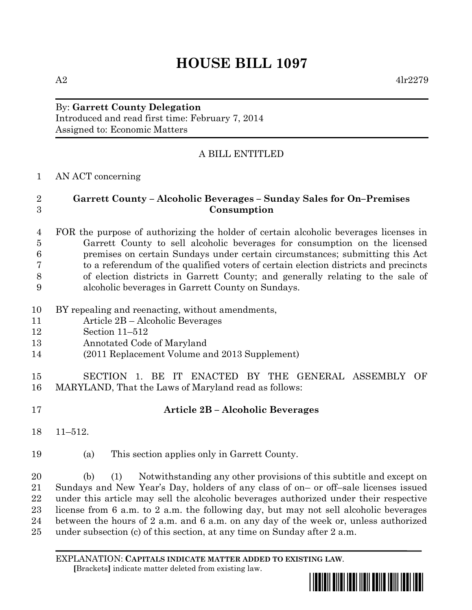# **HOUSE BILL 1097**

#### By: **Garrett County Delegation** Introduced and read first time: February 7, 2014 Assigned to: Economic Matters

## A BILL ENTITLED

#### AN ACT concerning

### **Garrett County – Alcoholic Beverages – Sunday Sales for On–Premises Consumption**

#### FOR the purpose of authorizing the holder of certain alcoholic beverages licenses in Garrett County to sell alcoholic beverages for consumption on the licensed premises on certain Sundays under certain circumstances; submitting this Act to a referendum of the qualified voters of certain election districts and precincts of election districts in Garrett County; and generally relating to the sale of alcoholic beverages in Garrett County on Sundays.

- BY repealing and reenacting, without amendments,
- Article 2B Alcoholic Beverages
- Section 11–512
- Annotated Code of Maryland
- (2011 Replacement Volume and 2013 Supplement)
- SECTION 1. BE IT ENACTED BY THE GENERAL ASSEMBLY OF MARYLAND, That the Laws of Maryland read as follows:
- 

## **Article 2B – Alcoholic Beverages**

- 11–512.
- (a) This section applies only in Garrett County.

 (b) (1) Notwithstanding any other provisions of this subtitle and except on Sundays and New Year's Day, holders of any class of on– or off–sale licenses issued under this article may sell the alcoholic beverages authorized under their respective license from 6 a.m. to 2 a.m. the following day, but may not sell alcoholic beverages between the hours of 2 a.m. and 6 a.m. on any day of the week or, unless authorized under subsection (c) of this section, at any time on Sunday after 2 a.m.

EXPLANATION: **CAPITALS INDICATE MATTER ADDED TO EXISTING LAW**.  **[**Brackets**]** indicate matter deleted from existing law.

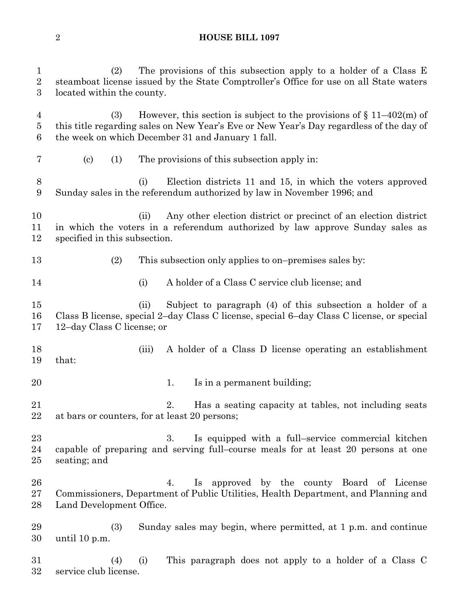#### **HOUSE BILL 1097**

 (2) The provisions of this subsection apply to a holder of a Class E steamboat license issued by the State Comptroller's Office for use on all State waters located within the county. 4 (3) However, this section is subject to the provisions of  $\{11-402(m) \text{ of }$  this title regarding sales on New Year's Eve or New Year's Day regardless of the day of the week on which December 31 and January 1 fall. (c) (1) The provisions of this subsection apply in: (i) Election districts 11 and 15, in which the voters approved Sunday sales in the referendum authorized by law in November 1996; and (ii) Any other election district or precinct of an election district in which the voters in a referendum authorized by law approve Sunday sales as specified in this subsection. 13 (2) This subsection only applies to on–premises sales by: (i) A holder of a Class C service club license; and (ii) Subject to paragraph (4) of this subsection a holder of a Class B license, special 2–day Class C license, special 6–day Class C license, or special 12–day Class C license; or (iii) A holder of a Class D license operating an establishment that: 20 1. Is in a permanent building; 2. Has a seating capacity at tables, not including seats at bars or counters, for at least 20 persons; 3. Is equipped with a full–service commercial kitchen capable of preparing and serving full–course meals for at least 20 persons at one seating; and 4. Is approved by the county Board of License Commissioners, Department of Public Utilities, Health Department, and Planning and Land Development Office. (3) Sunday sales may begin, where permitted, at 1 p.m. and continue until 10 p.m. (4) (i) This paragraph does not apply to a holder of a Class C service club license.